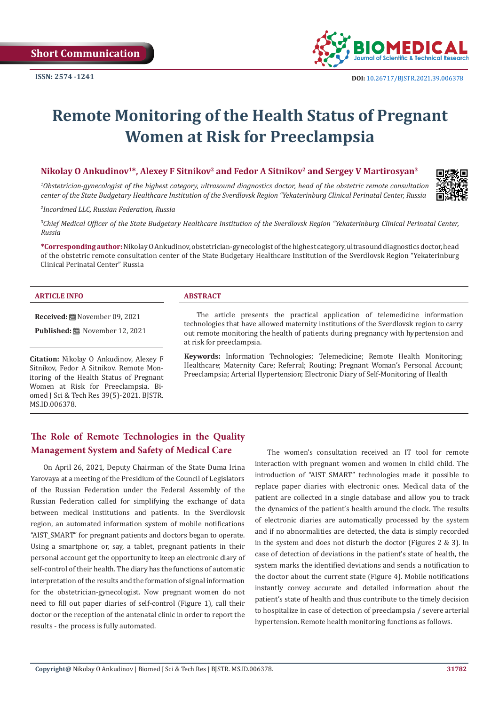

# **Remote Monitoring of the Health Status of Pregnant Women at Risk for Preeclampsia**

#### **Nikolay О Ankudinov<sup>1</sup>\*, Alexey F Sitnikov<sup>2</sup> and Fedor A Sitnikov<sup>2</sup> and Sergey V Martirosyan<sup>3</sup>**

*1 Obstetrician-gynecologist of the highest category, ultrasound diagnostics doctor, head of the obstetric remote consultation center of the State Budgetary Healthcare Institution of the Sverdlovsk Region "Yekaterinburg Clinical Perinatal Center, Russia*

*2 Incordmed LLC, Russian Federation, Russia*

*3 Chief Medical Officer of the State Budgetary Healthcare Institution of the Sverdlovsk Region "Yekaterinburg Clinical Perinatal Center, Russia*

**\*Corresponding author:** Nikolay O Ankudinov, obstetrician-gynecologist of the highest category, ultrasound diagnostics doctor, head of the obstetric remote consultation center of the State Budgetary Healthcare Institution of the Sverdlovsk Region "Yekaterinburg Clinical Perinatal Center" Russia

#### **ARTICLE INFO ABSTRACT**

**Received:** November 09, 2021

**Published:** November 12, 2021

**Citation:** Nikolay О Ankudinov, Alexey F Sitnikov, Fedor A Sitnikov. Remote Monitoring of the Health Status of Pregnant Women at Risk for Preeclampsia. Biomed J Sci & Tech Res 39(5)-2021. BJSTR. MS.ID.006378.

The article presents the practical application of telemedicine information technologies that have allowed maternity institutions of the Sverdlovsk region to carry out remote monitoring the health of patients during pregnancy with hypertension and at risk for preeclampsia.

**Keywords:** Information Technologies; Telemedicine; Remote Health Monitoring; Healthcare; Maternity Care; Referral; Routing; Pregnant Woman's Personal Account; Preeclampsia; Arterial Hypertension; Electronic Diary of Self-Monitoring of Health

# **The Role of Remote Technologies in the Quality Management System and Safety of Medical Care**

On April 26, 2021, Deputy Chairman of the State Duma Irina Yarovaya at a meeting of the Presidium of the Council of Legislators of the Russian Federation under the Federal Assembly of the Russian Federation called for simplifying the exchange of data between medical institutions and patients. In the Sverdlovsk region, an automated information system of mobile notifications "AIST\_SMART" for pregnant patients and doctors began to operate. Using a smartphone or, say, a tablet, pregnant patients in their personal account get the opportunity to keep an electronic diary of self-control of their health. The diary has the functions of automatic interpretation of the results and the formation of signal information for the obstetrician-gynecologist. Now pregnant women do not need to fill out paper diaries of self-control (Figure 1), call their doctor or the reception of the antenatal clinic in order to report the results - the process is fully automated.

The women's consultation received an IT tool for remote interaction with pregnant women and women in child child. The introduction of "AIST\_SMART" technologies made it possible to replace paper diaries with electronic ones. Medical data of the patient are collected in a single database and allow you to track the dynamics of the patient's health around the clock. The results of electronic diaries are automatically processed by the system and if no abnormalities are detected, the data is simply recorded in the system and does not disturb the doctor (Figures 2 & 3). In case of detection of deviations in the patient's state of health, the system marks the identified deviations and sends a notification to the doctor about the current state (Figure 4). Mobile notifications instantly convey accurate and detailed information about the patient's state of health and thus contribute to the timely decision to hospitalize in case of detection of preeclampsia / severe arterial hypertension. Remote health monitoring functions as follows.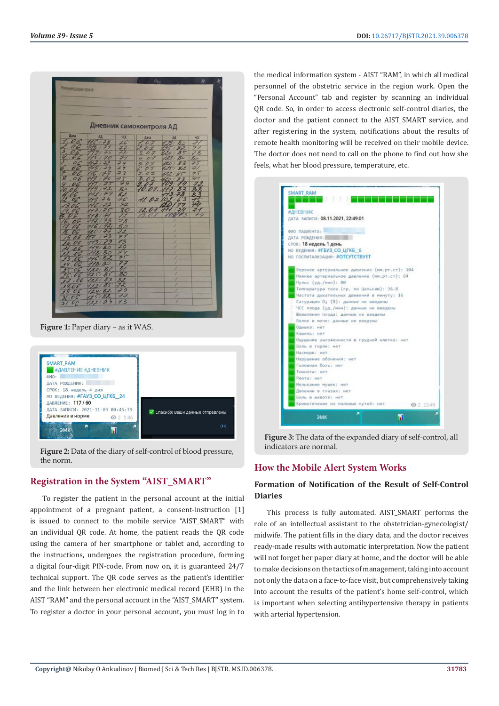| Рекомендации врача:          |                 |                         | $C_{tri}$               |                         | 异                    |
|------------------------------|-----------------|-------------------------|-------------------------|-------------------------|----------------------|
|                              |                 |                         |                         |                         |                      |
|                              |                 |                         |                         |                         |                      |
|                              |                 |                         |                         |                         |                      |
|                              |                 |                         | Дневник самоконтроля АД |                         |                      |
| Дата                         | AД              | <b>YKC</b>              | Дата                    | AД                      | <b>4CC</b>           |
| 06                           |                 | 76                      | 07<br>$\tau$            | 123180                  | 7/                   |
| 06                           |                 |                         | $\mathcal{O}Z$<br>в     | 25/82                   | 7/                   |
| 06                           |                 |                         | 07                      | C20185                  | 78                   |
| . 0                          |                 |                         | 07<br>4.                | 23180                   | $\frac{80}{75}$      |
| O <sub>6</sub>               |                 | $\frac{9}{7}$           | 07                      | 20183                   |                      |
| 06                           |                 | $\overline{3}$          | OZ                      | Z                       | 47/                  |
| .06                          |                 | $\overline{\mathsf{S}}$ | 07<br>2.                |                         | 75<br>$\overline{H}$ |
| 06                           | 170             | 79                      | 8.07                    | $\overline{\mathbf{z}}$ |                      |
| 06                           |                 | 80                      | 9.07                    |                         | 72                   |
| 06                           |                 | 82                      | 10.07.                  |                         |                      |
| 06                           | 3<br>17         | $-26$                   | 02                      |                         |                      |
|                              |                 | 72                      |                         |                         |                      |
|                              |                 | 80                      | 2.07                    |                         | 77                   |
|                              |                 | 72                      | $\varrho$               |                         | $+q$                 |
| o                            |                 | 78                      |                         |                         |                      |
| 06                           | 170             | 50                      |                         |                         |                      |
| 06                           |                 | 72                      |                         | Ź                       |                      |
| 06<br>19                     | ، ع             | 71                      |                         |                         |                      |
| $\mathscr{O}6$               |                 | 73                      |                         |                         |                      |
| $-06$                        |                 | $\frac{29}{7}$          |                         |                         |                      |
| $\cdot c$                    | 8180            |                         |                         |                         |                      |
| $\mathcal{O}$                | 782             | 75                      |                         |                         |                      |
| O(                           | 118/8           | 77                      |                         |                         |                      |
| 06                           | 201 B           | $\frac{8}{ }$           |                         | 7                       |                      |
| $\mathcal{U}_{\mathfrak{b}}$ |                 | 750                     |                         | 7                       |                      |
| $\iota$                      | 53              | 82                      |                         | ł<br>Ï                  |                      |
| 8.06                         |                 | 72                      |                         | Z                       |                      |
| 9.06                         | 24182           | 79<br>77                |                         |                         |                      |
| 20.06                        | 125182<br>12218 | 73                      |                         | 1                       |                      |

**Figure 1:** Paper diary – as it WAS.



**Figure 2:** Data of the diary of self-control of blood pressure, the norm.

### **Registration in the System "AIST\_SMART"**

To register the patient in the personal account at the initial appointment of a pregnant patient, a consent-instruction [1] is issued to connect to the mobile service "AIST\_SMART" with an individual QR code. At home, the patient reads the QR code using the camera of her smartphone or tablet and, according to the instructions, undergoes the registration procedure, forming a digital four-digit PIN-code. From now on, it is guaranteed 24/7 technical support. The QR code serves as the patient's identifier and the link between her electronic medical record (EHR) in the AIST "RAM" and the personal account in the "AIST\_SMART" system. To register a doctor in your personal account, you must log in to

the medical information system - AIST "RAM", in which all medical personnel of the obstetric service in the region work. Open the "Personal Account" tab and register by scanning an individual QR code. So, in order to access electronic self-control diaries, the doctor and the patient connect to the AIST\_SMART service, and after registering in the system, notifications about the results of remote health monitoring will be received on their mobile device. The doctor does not need to call on the phone to find out how she feels, what her blood pressure, temperature, etc.



**Figure 3:** The data of the expanded diary of self-control, all indicators are normal.

#### **How the Mobile Alert System Works**

#### **Formation of Notification of the Result of Self-Control Diaries**

This process is fully automated. AIST\_SMART performs the role of an intellectual assistant to the obstetrician-gynecologist/ midwife. The patient fills in the diary data, and the doctor receives ready-made results with automatic interpretation. Now the patient will not forget her paper diary at home, and the doctor will be able to make decisions on the tactics of management, taking into account not only the data on a face-to-face visit, but comprehensively taking into account the results of the patient's home self-control, which is important when selecting antihypertensive therapy in patients with arterial hypertension.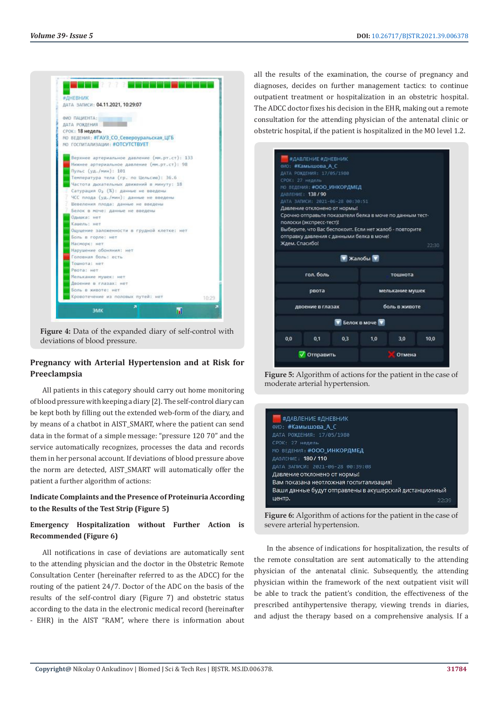

**Figure 4:** Data of the expanded diary of self-control with deviations of blood pressure.

#### **Pregnancy with Arterial Hypertension and at Risk for Preeclampsia**

All patients in this category should carry out home monitoring of blood pressure with keeping a diary [2]. The self-control diary can be kept both by filling out the extended web-form of the diary, and by means of a chatbot in AIST\_SMART, where the patient can send data in the format of a simple message: "pressure 120 70" and the service automatically recognizes, processes the data and records them in her personal account. If deviations of blood pressure above the norm are detected, AIST\_SMART will automatically offer the patient a further algorithm of actions:

#### **Indicate Complaints and the Presence of Proteinuria According to the Results of the Test Strip (Figure 5)**

### **Emergency Hospitalization without Further Action is Recommended (Figure 6)**

All notifications in case of deviations are automatically sent to the attending physician and the doctor in the Obstetric Remote Consultation Center (hereinafter referred to as the ADCC) for the routing of the patient 24/7. Doctor of the ADC on the basis of the results of the self-control diary (Figure 7) and obstetric status according to the data in the electronic medical record (hereinafter - EHR) in the AIST "RAM", where there is information about all the results of the examination, the course of pregnancy and diagnoses, decides on further management tactics: to continue outpatient treatment or hospitalization in an obstetric hospital. The ADCC doctor fixes his decision in the EHR, making out a remote consultation for the attending physician of the antenatal clinic or obstetric hospital, if the patient is hospitalized in the MO level 1.2.



**Figure 5:** Algorithm of actions for the patient in the case of moderate arterial hypertension.

| #ДАВЛЕНИЕ #ДНЕВНИК                                      |       |
|---------------------------------------------------------|-------|
| ФИО: #Камышова А С                                      |       |
| ДАТА РОЖДЕНИЯ: 17/05/1980                               |       |
| СРОК: 27 недель                                         |       |
| МО ВЕДЕНИЯ #ООО ИНКОРДМЕД                               |       |
| ДАВЛЕНИЕ: 180 / 110                                     |       |
| ДАТА ЗАПИСИ: 2021-06-28 00:39:08                        |       |
| Давление отклонено от нормы!                            |       |
| Вам показана неотложная госпитализация!                 |       |
| Ваши данные будут отправлены в акушерский дистанционный |       |
| центр.                                                  | フフ・コロ |

**Figure 6:** Algorithm of actions for the patient in the case of severe arterial hypertension.

In the absence of indications for hospitalization, the results of the remote consultation are sent automatically to the attending physician of the antenatal clinic. Subsequently, the attending physician within the framework of the next outpatient visit will be able to track the patient's condition, the effectiveness of the prescribed antihypertensive therapy, viewing trends in diaries, and adjust the therapy based on a comprehensive analysis. If a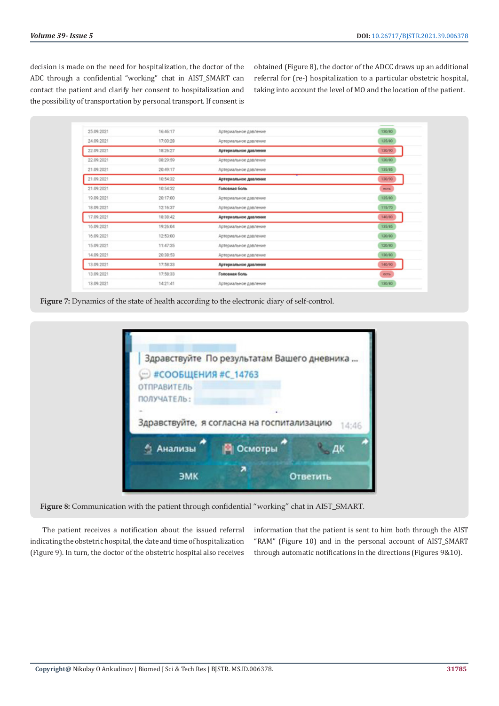decision is made on the need for hospitalization, the doctor of the ADC through a confidential "working" chat in AIST\_SMART can contact the patient and clarify her consent to hospitalization and the possibility of transportation by personal transport. If consent is obtained (Figure 8), the doctor of the ADCC draws up an additional referral for (re-) hospitalization to a particular obstetric hospital, taking into account the level of MO and the location of the patient.

| 25.09.2021 | 16:46:17 | Артериальное давление | 130/80 |
|------------|----------|-----------------------|--------|
| 24.09.2021 | 17:00:28 | Артериальное давление | 125/80 |
| 22.09.2021 | 18:26:27 | Артериальное давление | 120/90 |
| 22.09.2021 | 08:29:59 | Артериальное давление | 120/80 |
| 21.09.2021 | 20:49:17 | Артериальное давление | 135/85 |
| 21.09.2021 | 10:54:32 | Артериальное давление | 130/90 |
| 21.09.2021 | 10:54:32 | Головная боль         | ecra   |
| 19.09.2021 | 20:17:00 | Артериальное давление | 125/80 |
| 18.09.2021 | 12:16:37 | Артериальное давление | 115/70 |
| 17.09.2021 | 18:38:42 | Артериальное давление | 140/80 |
| 16.09.2021 | 19:26:04 | Артериальное давление | 135/85 |
| 16.09.2021 | 12:53:00 | Артериальное давление | 120/80 |
| 15.09.2021 | 11:47:35 | Артериальное давление | 120/80 |
| 14.09.2021 | 20:38:53 | Артериальное давление | 120/90 |
| 13.09.2021 | 17:58:33 | Артериальное давление | 140/90 |
| 13.09.2021 | 17:58:33 | Головная боль         | ects   |
| 13.09.2021 | 14:21:41 | Артериальное давление | 130/80 |
|            |          |                       |        |



|                       | Здравствуйте По результатам Вашего дневника |          |
|-----------------------|---------------------------------------------|----------|
| • #СООБЩЕНИЯ #С_14763 |                                             |          |
| <b>ОТПРАВИТЕЛЬ</b>    |                                             |          |
| ПОЛУЧАТЕЛЬ:           |                                             |          |
|                       |                                             |          |
|                       | Здравствуйте, я согласна на госпитализацию  | 14:46    |
| Анализы               | Осмотры                                     |          |
| ЭМК                   |                                             | Ответить |

**Figure 8:** Communication with the patient through confidential "working" chat in AIST\_SMART.

The patient receives a notification about the issued referral indicating the obstetric hospital, the date and time of hospitalization (Figure 9). In turn, the doctor of the obstetric hospital also receives information that the patient is sent to him both through the AIST "RAM" (Figure 10) and in the personal account of AIST\_SMART through automatic notifications in the directions (Figures 9&10).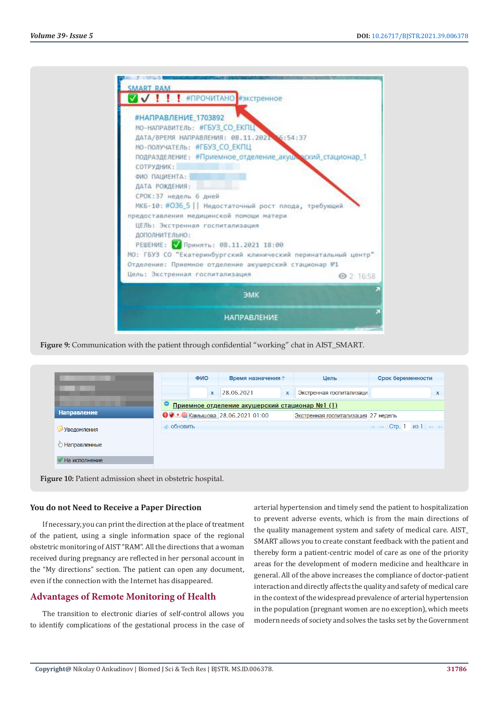| МО-НАПРАВИТЕЛЬ: #ГБУЗ_СО_ЕКПЦ<br>ДАТА/ВРЕМЯ НАПРАВЛЕНИЯ: 08.11.2021 6:54:37                                                                                            |           |
|------------------------------------------------------------------------------------------------------------------------------------------------------------------------|-----------|
| МО-ПОЛУЧАТЕЛЬ: #ГБУЗ СО ЕКПЦ<br>подразделение: #Приемное_отделение_акуше_оский_стационар_1<br>СОТРУДНИК:                                                               |           |
| ФИО ПАЦИЕНТА:<br>ДАТА РОЖДЕНИЯ:                                                                                                                                        |           |
| СРОК: 37 недель 6 дней<br>МКБ-10: #036_5   Недостаточный рост плода, требующий                                                                                         |           |
| предоставления медицинской помощи матери<br>ЦЕЛЬ: Экстренная госпитализация<br>ДОПОЛНИТЕЛЬНО:                                                                          |           |
|                                                                                                                                                                        |           |
| Цель: Экстренная госпитализация                                                                                                                                        | ◎ 2 16:58 |
| РЕШЕНИЕ: У Принять: 08.11.2021 18:00<br>MO: ГБУЗ СО "Екатеринбургский клинический перинатальный центр"<br>Отделение: Приемное отделение акушерский стационар №1<br>ЭМК |           |

**Figure 9:** Communication with the patient through confidential "working" chat in AIST\_SMART.

|                                                           | ФИО                                            |  | Время назначения ≑        |                                                     | Цель                      | Срок беременности                   |                                                                              |  |   |
|-----------------------------------------------------------|------------------------------------------------|--|---------------------------|-----------------------------------------------------|---------------------------|-------------------------------------|------------------------------------------------------------------------------|--|---|
|                                                           |                                                |  | $\boldsymbol{\mathsf{x}}$ | 28.06.2021                                          | $\boldsymbol{\mathsf{x}}$ | Экстренная госпитализаци            |                                                                              |  | X |
|                                                           | Приемное отделение акушерский стационар №1 (1) |  |                           |                                                     |                           |                                     |                                                                              |  |   |
| <b>Направление</b>                                        |                                                |  |                           | $\bigcirc$ + $\bigcirc$ Kambilloba 28.06.2021 01:00 |                           | Экстренная госпитализация 27 недель |                                                                              |  |   |
| Уведомления                                               | <b>© Обновить</b>                              |  |                           |                                                     |                           |                                     | $\rightarrow$ $\rightarrow$ CTD. 1 $\rightarrow$ $\rightarrow$ $\rightarrow$ |  |   |
| <b>В Направленные</b>                                     |                                                |  |                           |                                                     |                           |                                     |                                                                              |  |   |
| На исполнение                                             |                                                |  |                           |                                                     |                           |                                     |                                                                              |  |   |
| Figure 10: Patient admission sheet in obstetric hospital. |                                                |  |                           |                                                     |                           |                                     |                                                                              |  |   |

#### **You do not Need to Receive a Paper Direction**

If necessary, you can print the direction at the place of treatment of the patient, using a single information space of the regional obstetric monitoring of AIST "RAM". All the directions that a woman received during pregnancy are reflected in her personal account in the "My directions" section. The patient can open any document, even if the connection with the Internet has disappeared.

#### **Advantages of Remote Monitoring of Health**

The transition to electronic diaries of self-control allows you to identify complications of the gestational process in the case of arterial hypertension and timely send the patient to hospitalization to prevent adverse events, which is from the main directions of the quality management system and safety of medical care. AIST\_ SMART allows you to create constant feedback with the patient and thereby form a patient-centric model of care as one of the priority areas for the development of modern medicine and healthcare in general. All of the above increases the compliance of doctor-patient interaction and directly affects the quality and safety of medical care in the context of the widespread prevalence of arterial hypertension in the population (pregnant women are no exception), which meets modern needs of society and solves the tasks set by the Government